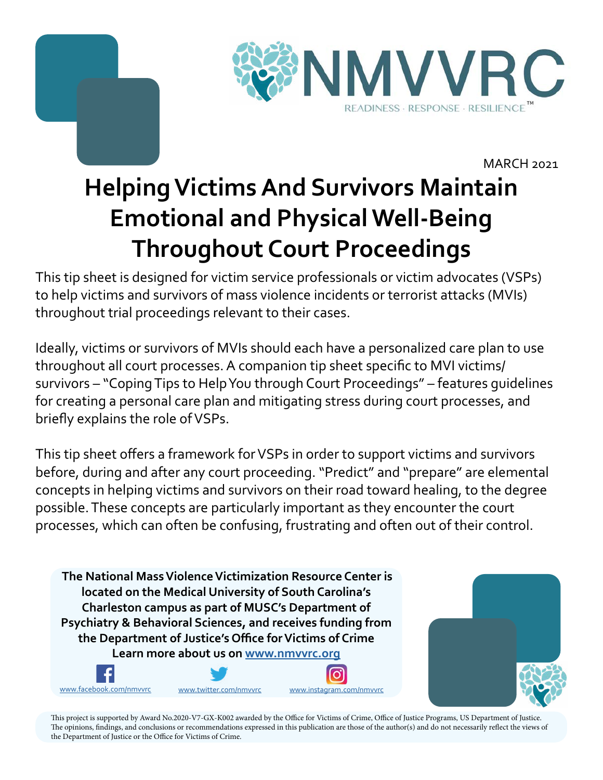



MARCH 2021

# **Helping Victims And Survivors Maintain Emotional and Physical Well-Being Throughout Court Proceedings**

This tip sheet is designed for victim service professionals or victim advocates (VSPs) to help victims and survivors of mass violence incidents or terrorist attacks (MVIs) throughout trial proceedings relevant to their cases.

Ideally, victims or survivors of MVIs should each have a personalized care plan to use throughout all court processes. A companion tip sheet specific to MVI victims/ survivors – "Coping Tips to Help You through Court Proceedings" – features guidelines for creating a personal care plan and mitigating stress during court processes, and briefly explains the role of VSPs.

This tip sheet offers a framework for VSPs in order to support victims and survivors before, during and after any court proceeding. "Predict" and "prepare" are elemental concepts in helping victims and survivors on their road toward healing, to the degree possible. These concepts are particularly important as they encounter the court processes, which can often be confusing, frustrating and often out of their control.

 **The National Mass Violence Victimization Resource Center is located on the Medical University of South Carolina's Charleston campus as part of MUSC's Department of Psychiatry & Behavioral Sciences, and receives funding from the Department of Justice's Office for Victims of Crime Learn more about us on<www.nmvvrc.org>**

<www.facebook.com/nmvvrc> [www.twitter.com/nmvvrc](https://twitter.com/NMVVRC) <www.instagram.com/nmvvrc>



This project is supported by Award No.2020-V7-GX-K002 awarded by the Office for Victims of Crime, Office of Justice Programs, US Department of Justice. The opinions, findings, and conclusions or recommendations expressed in this publication are those of the author(s) and do not necessarily reflect the views of the Department of Justice or the Office for Victims of Crime.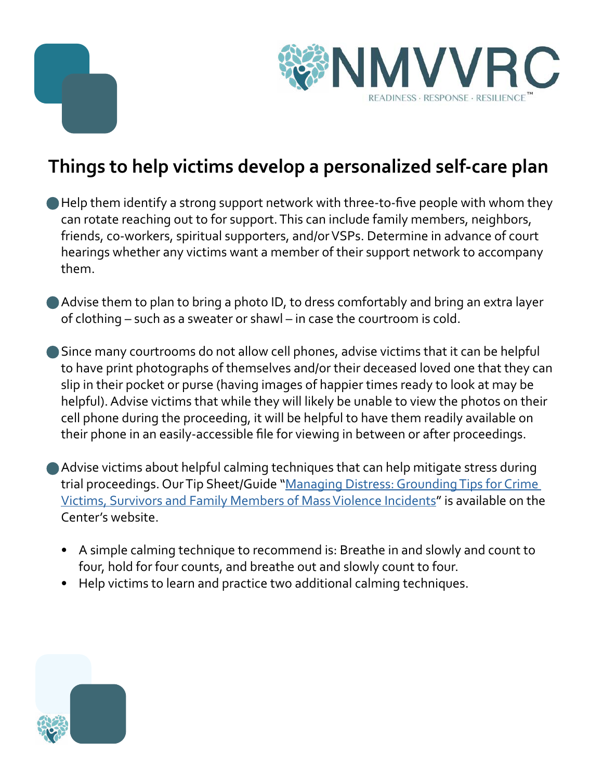



## **Things to help victims develop a personalized self-care plan**

- Help them identify a strong support network with three-to-five people with whom they can rotate reaching out to for support. This can include family members, neighbors, friends, co-workers, spiritual supporters, and/or VSPs. Determine in advance of court hearings whether any victims want a member of their support network to accompany them.
- Advise them to plan to bring a photo ID, to dress comfortably and bring an extra layer of clothing – such as a sweater or shawl – in case the courtroom is cold.
- Since many courtrooms do not allow cell phones, advise victims that it can be helpful to have print photographs of themselves and/or their deceased loved one that they can slip in their pocket or purse (having images of happier times ready to look at may be helpful). Advise victims that while they will likely be unable to view the photos on their cell phone during the proceeding, it will be helpful to have them readily available on their phone in an easily-accessible file for viewing in between or after proceedings.
- Advise victims about helpful calming techniques that can help mitigate stress during trial proceedings. Our Tip Sheet/Guide "[Managing Distress: Grounding Tips for Crime](https://www.nmvvrc.org/media/oo5ft3in/managing-distress-a-guide-for-victims-survivors-and-families-of-mass-violence-events-1.pdf)  [Victims, Survivors and Family Members of Mass Violence Incidents](https://www.nmvvrc.org/media/oo5ft3in/managing-distress-a-guide-for-victims-survivors-and-families-of-mass-violence-events-1.pdf)" is available on the Center's website.
	- A simple calming technique to recommend is: Breathe in and slowly and count to four, hold for four counts, and breathe out and slowly count to four.
	- Help victims to learn and practice two additional calming techniques.

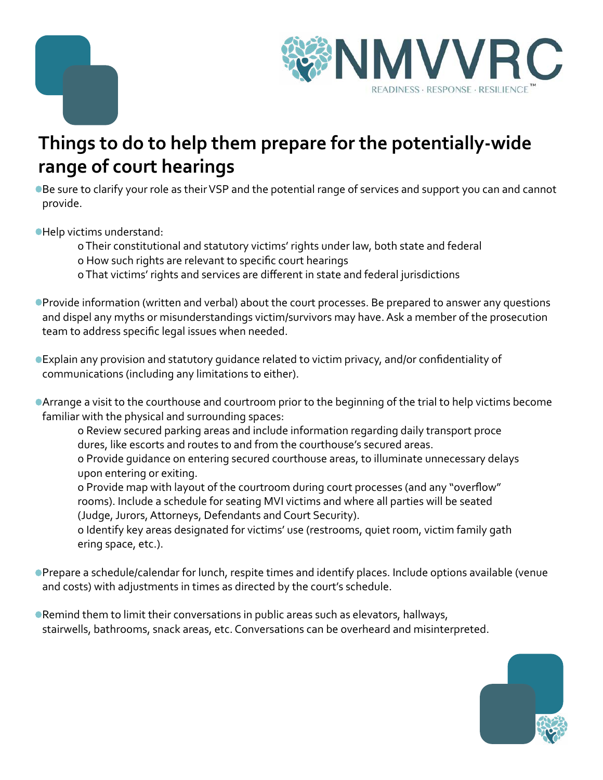



#### **Things to do to help them prepare for the potentially-wide range of court hearings**

Be sure to clarify your role as their VSP and the potential range of services and support you can and cannot provide.

Help victims understand:

o Their constitutional and statutory victims' rights under law, both state and federal

o How such rights are relevant to specific court hearings

o That victims' rights and services are different in state and federal jurisdictions

Provide information (written and verbal) about the court processes. Be prepared to answer any questions and dispel any myths or misunderstandings victim/survivors may have. Ask a member of the prosecution team to address specific legal issues when needed.

Explain any provision and statutory guidance related to victim privacy, and/or confidentiality of communications (including any limitations to either).

Arrange a visit to the courthouse and courtroom prior to the beginning of the trial to help victims become familiar with the physical and surrounding spaces:

o Review secured parking areas and include information regarding daily transport proce dures, like escorts and routes to and from the courthouse's secured areas.

o Provide guidance on entering secured courthouse areas, to illuminate unnecessary delays upon entering or exiting.

o Provide map with layout of the courtroom during court processes (and any "overflow" rooms). Include a schedule for seating MVI victims and where all parties will be seated (Judge, Jurors, Attorneys, Defendants and Court Security).

o Identify key areas designated for victims' use (restrooms, quiet room, victim family gath ering space, etc.).

- Prepare a schedule/calendar for lunch, respite times and identify places. Include options available (venue and costs) with adjustments in times as directed by the court's schedule.
- Remind them to limit their conversations in public areas such as elevators, hallways, stairwells, bathrooms, snack areas, etc. Conversations can be overheard and misinterpreted.

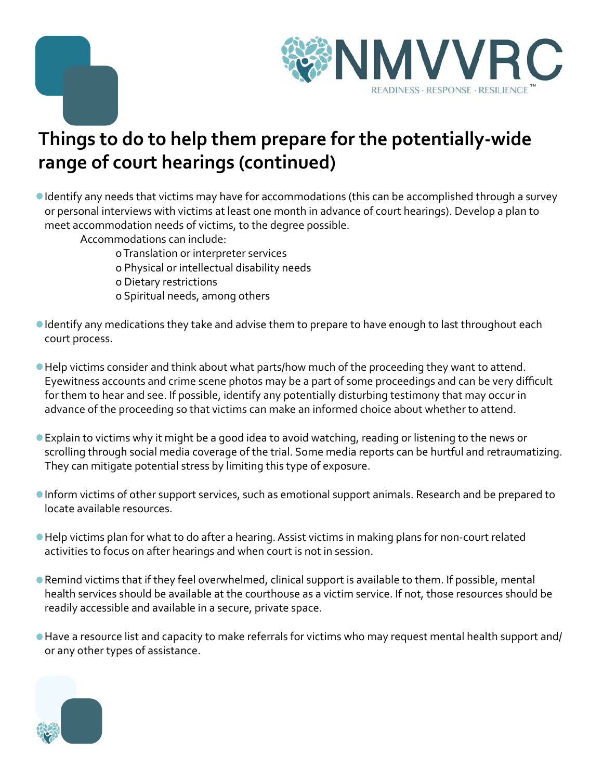



## **Things to do to help them prepare for the potentially-wide range of court hearings (continued)**

Identify any needs that victims may have for accommodations (this can be accomplished through a survey or personal interviews with victims at least one month in advance of court hearings). Develop a plan to meet accommodation needs of victims, to the degree possible.

Accommodations can include:

- o Translation or interpreter services
- o Physical or intellectual disability needs
- o Dietary restrictions
- o Spiritual needs, among others
- Identify any medications they take and advise them to prepare to have enough to last throughout each court process.
- Help victims consider and think about what parts/how much of the proceeding they want to attend. Eyewitness accounts and crime scene photos may be a part of some proceedings and can be very difficult for them to hear and see. If possible, identify any potentially disturbing testimony that may occur in advance of the proceeding so that victims can make an informed choice about whether to attend.
- Explain to victims why it might be a good idea to avoid watching, reading or listening to the news or scrolling through social media coverage of the trial. Some media reports can be hurtful and retraumatizing. They can mitigate potential stress by limiting this type of exposure.
- Inform victims of other support services, such as emotional support animals. Research and be prepared to locate available resources.
- Help victims plan for what to do after a hearing. Assist victims in making plans for non-court related activities to focus on after hearings and when court is not in session.
- Remind victims that if they feel overwhelmed, clinical support is available to them. If possible, mental health services should be available at the courthouse as a victim service. If not, those resources should be readily accessible and available in a secure, private space.
- Have a resource list and capacity to make referrals for victims who may request mental health support and/ or any other types of assistance.

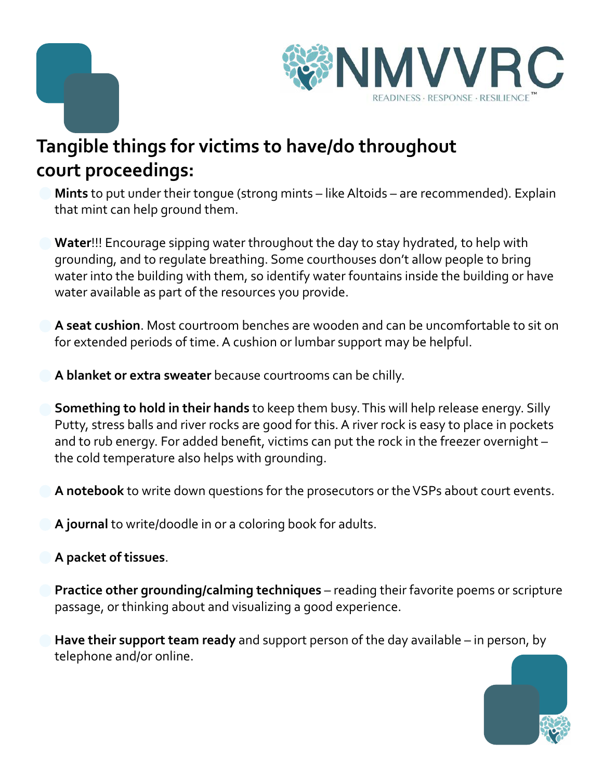



## **Tangible things for victims to have/do throughout court proceedings:**

**Mints** to put under their tongue (strong mints – like Altoids – are recommended). Explain that mint can help ground them.

**Water**!!! Encourage sipping water throughout the day to stay hydrated, to help with grounding, and to regulate breathing. Some courthouses don't allow people to bring water into the building with them, so identify water fountains inside the building or have water available as part of the resources you provide.

**A seat cushion**. Most courtroom benches are wooden and can be uncomfortable to sit on for extended periods of time. A cushion or lumbar support may be helpful.

**A blanket or extra sweater** because courtrooms can be chilly.

**Something to hold in their hands** to keep them busy. This will help release energy. Silly Putty, stress balls and river rocks are good for this. A river rock is easy to place in pockets and to rub energy. For added benefit, victims can put the rock in the freezer overnight – the cold temperature also helps with grounding.

**A notebook** to write down questions for the prosecutors or the VSPs about court events.

**A journal** to write/doodle in or a coloring book for adults.

#### **A packet of tissues**.

**Practice other grounding/calming techniques** – reading their favorite poems or scripture passage, or thinking about and visualizing a good experience.

**Have their support team ready** and support person of the day available – in person, by telephone and/or online.